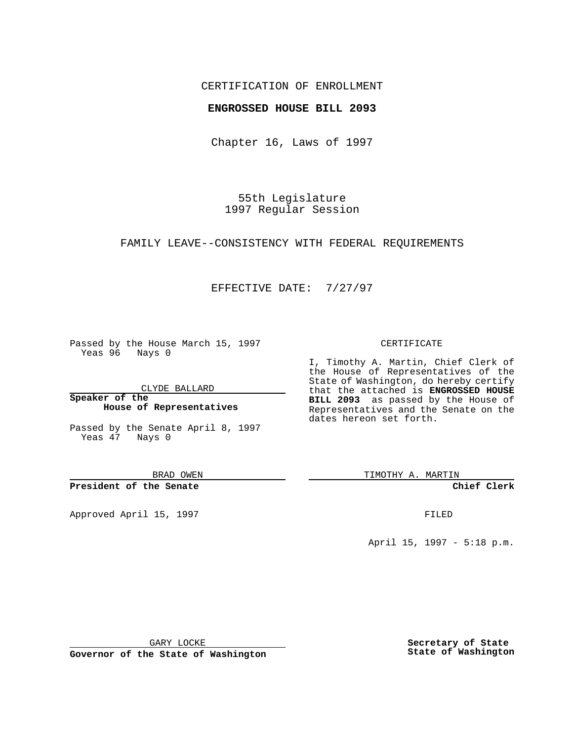## CERTIFICATION OF ENROLLMENT

## **ENGROSSED HOUSE BILL 2093**

Chapter 16, Laws of 1997

55th Legislature 1997 Regular Session

#### FAMILY LEAVE--CONSISTENCY WITH FEDERAL REQUIREMENTS

# EFFECTIVE DATE: 7/27/97

Passed by the House March 15, 1997 Yeas 96 Nays 0

CLYDE BALLARD

**Speaker of the House of Representatives**

Passed by the Senate April 8, 1997 Yeas 47 Nays 0

BRAD OWEN

**President of the Senate**

Approved April 15, 1997 **FILED** 

#### CERTIFICATE

I, Timothy A. Martin, Chief Clerk of the House of Representatives of the State of Washington, do hereby certify that the attached is **ENGROSSED HOUSE BILL 2093** as passed by the House of Representatives and the Senate on the dates hereon set forth.

TIMOTHY A. MARTIN

**Chief Clerk**

April 15, 1997 - 5:18 p.m.

GARY LOCKE

**Governor of the State of Washington**

**Secretary of State State of Washington**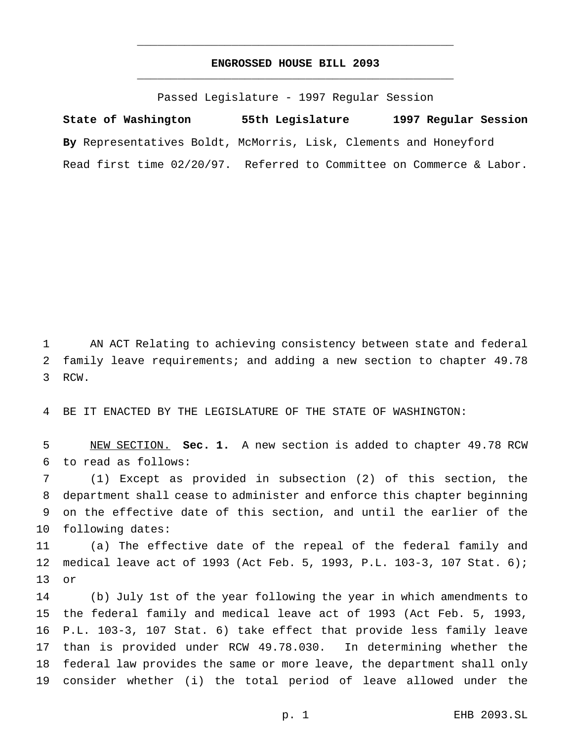# **ENGROSSED HOUSE BILL 2093** \_\_\_\_\_\_\_\_\_\_\_\_\_\_\_\_\_\_\_\_\_\_\_\_\_\_\_\_\_\_\_\_\_\_\_\_\_\_\_\_\_\_\_\_\_\_\_

\_\_\_\_\_\_\_\_\_\_\_\_\_\_\_\_\_\_\_\_\_\_\_\_\_\_\_\_\_\_\_\_\_\_\_\_\_\_\_\_\_\_\_\_\_\_\_

Passed Legislature - 1997 Regular Session

**State of Washington 55th Legislature 1997 Regular Session By** Representatives Boldt, McMorris, Lisk, Clements and Honeyford Read first time 02/20/97. Referred to Committee on Commerce & Labor.

 AN ACT Relating to achieving consistency between state and federal family leave requirements; and adding a new section to chapter 49.78 RCW.

BE IT ENACTED BY THE LEGISLATURE OF THE STATE OF WASHINGTON:

 NEW SECTION. **Sec. 1.** A new section is added to chapter 49.78 RCW to read as follows:

 (1) Except as provided in subsection (2) of this section, the department shall cease to administer and enforce this chapter beginning on the effective date of this section, and until the earlier of the following dates:

 (a) The effective date of the repeal of the federal family and medical leave act of 1993 (Act Feb. 5, 1993, P.L. 103-3, 107 Stat. 6); or

 (b) July 1st of the year following the year in which amendments to the federal family and medical leave act of 1993 (Act Feb. 5, 1993, P.L. 103-3, 107 Stat. 6) take effect that provide less family leave than is provided under RCW 49.78.030. In determining whether the federal law provides the same or more leave, the department shall only consider whether (i) the total period of leave allowed under the